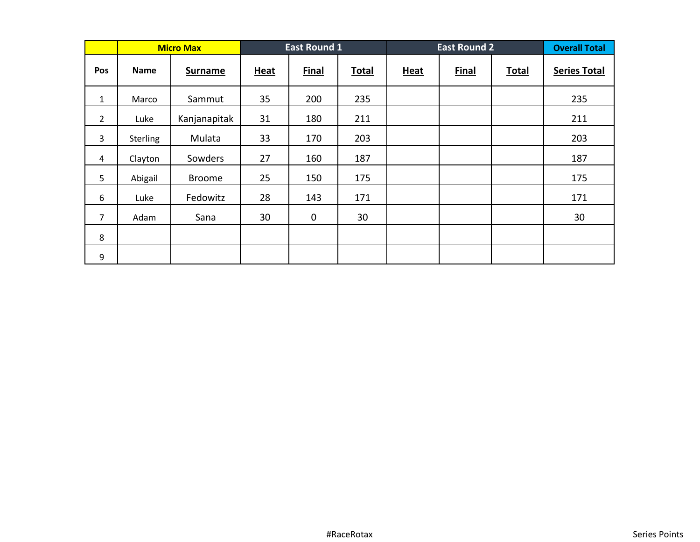|                            |                 | <b>Micro Max</b> |      | <b>East Round 1</b> |              |             | <b>East Round 2</b> |              | <b>Overall Total</b> |
|----------------------------|-----------------|------------------|------|---------------------|--------------|-------------|---------------------|--------------|----------------------|
| $\underline{\mathsf{Pos}}$ | <b>Name</b>     | <b>Surname</b>   | Heat | <b>Final</b>        | <b>Total</b> | <b>Heat</b> | <b>Final</b>        | <b>Total</b> | <b>Series Total</b>  |
| $\mathbf{1}$               | Marco           | Sammut           | 35   | 200                 | 235          |             |                     |              | 235                  |
| $\overline{2}$             | Luke            | Kanjanapitak     | 31   | 180                 | 211          |             |                     |              | 211                  |
| 3                          | <b>Sterling</b> | Mulata           | 33   | 170                 | 203          |             |                     |              | 203                  |
| 4                          | Clayton         | Sowders          | 27   | 160                 | 187          |             |                     |              | 187                  |
| 5                          | Abigail         | <b>Broome</b>    | 25   | 150                 | 175          |             |                     |              | 175                  |
| 6                          | Luke            | Fedowitz         | 28   | 143                 | 171          |             |                     |              | 171                  |
| $\overline{7}$             | Adam            | Sana             | 30   | $\mathbf 0$         | 30           |             |                     |              | 30                   |
| 8                          |                 |                  |      |                     |              |             |                     |              |                      |
| 9                          |                 |                  |      |                     |              |             |                     |              |                      |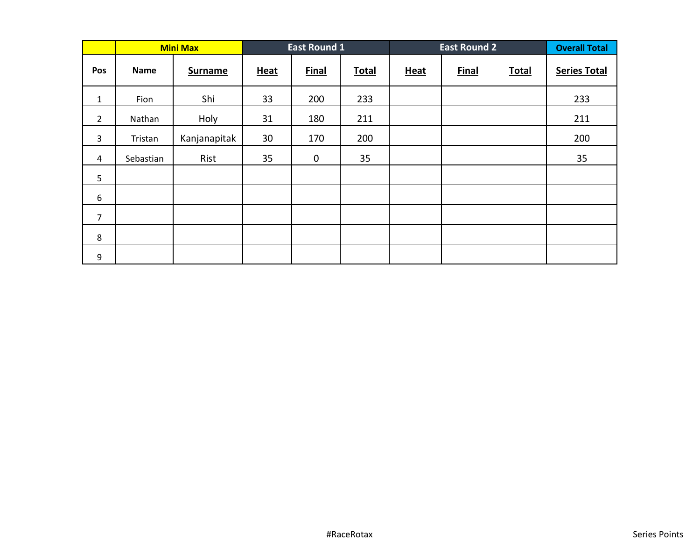|                            |             | <b>Mini Max</b> |             | <b>East Round 1</b> |       |             | <b>East Round 2</b> |              | <b>Overall Total</b> |
|----------------------------|-------------|-----------------|-------------|---------------------|-------|-------------|---------------------|--------------|----------------------|
| $\underline{\mathsf{Pos}}$ | <b>Name</b> | <b>Surname</b>  | <b>Heat</b> | <b>Final</b>        | Total | <b>Heat</b> | <b>Final</b>        | <b>Total</b> | <b>Series Total</b>  |
| $\mathbf{1}$               | Fion        | Shi             | 33          | 200                 | 233   |             |                     |              | 233                  |
| $\overline{2}$             | Nathan      | Holy            | 31          | 180                 | 211   |             |                     |              | 211                  |
| 3                          | Tristan     | Kanjanapitak    | 30          | 170                 | 200   |             |                     |              | 200                  |
| 4                          | Sebastian   | Rist            | 35          | $\mathbf 0$         | 35    |             |                     |              | 35                   |
| 5                          |             |                 |             |                     |       |             |                     |              |                      |
| $\boldsymbol{6}$           |             |                 |             |                     |       |             |                     |              |                      |
| $\overline{7}$             |             |                 |             |                     |       |             |                     |              |                      |
| 8                          |             |                 |             |                     |       |             |                     |              |                      |
| 9                          |             |                 |             |                     |       |             |                     |              |                      |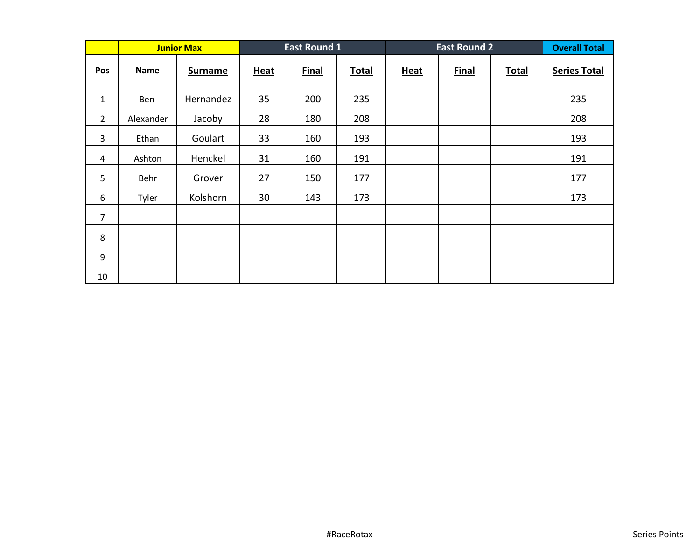|                |             | <b>Junior Max</b> |             | <b>East Round 1</b> |              | <b>East Round 2</b> |              |              | <b>Overall Total</b> |
|----------------|-------------|-------------------|-------------|---------------------|--------------|---------------------|--------------|--------------|----------------------|
| Pos            | <b>Name</b> | <b>Surname</b>    | <b>Heat</b> | <b>Final</b>        | <b>Total</b> | <b>Heat</b>         | <b>Final</b> | <b>Total</b> | <b>Series Total</b>  |
| $\mathbf{1}$   | Ben         | Hernandez         | 35          | 200                 | 235          |                     |              |              | 235                  |
| $\overline{2}$ | Alexander   | Jacoby            | 28          | 180                 | 208          |                     |              |              | 208                  |
| 3              | Ethan       | Goulart           | 33          | 160                 | 193          |                     |              |              | 193                  |
| 4              | Ashton      | Henckel           | 31          | 160                 | 191          |                     |              |              | 191                  |
| 5              | Behr        | Grover            | 27          | 150                 | 177          |                     |              |              | 177                  |
| 6              | Tyler       | Kolshorn          | 30          | 143                 | 173          |                     |              |              | 173                  |
| $\overline{7}$ |             |                   |             |                     |              |                     |              |              |                      |
| 8              |             |                   |             |                     |              |                     |              |              |                      |
| 9              |             |                   |             |                     |              |                     |              |              |                      |
| 10             |             |                   |             |                     |              |                     |              |              |                      |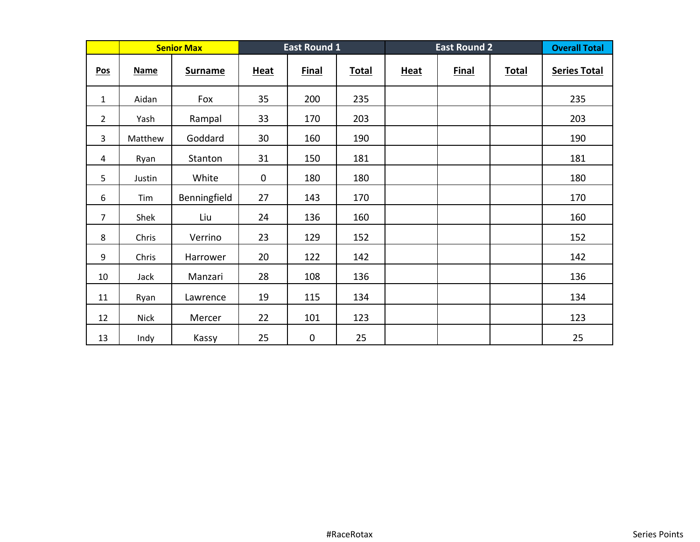|                |             | <b>Senior Max</b> |             | <b>East Round 1</b> |              | <b>East Round 2</b> |              |              | <b>Overall Total</b> |
|----------------|-------------|-------------------|-------------|---------------------|--------------|---------------------|--------------|--------------|----------------------|
| Pos            | <b>Name</b> | <b>Surname</b>    | <b>Heat</b> | <b>Final</b>        | <b>Total</b> | <b>Heat</b>         | <b>Final</b> | <b>Total</b> | <b>Series Total</b>  |
| $\mathbf{1}$   | Aidan       | Fox               | 35          | 200                 | 235          |                     |              |              | 235                  |
| $\overline{2}$ | Yash        | Rampal            | 33          | 170                 | 203          |                     |              |              | 203                  |
| 3              | Matthew     | Goddard           | 30          | 160                 | 190          |                     |              |              | 190                  |
| 4              | Ryan        | Stanton           | 31          | 150                 | 181          |                     |              |              | 181                  |
| 5              | Justin      | White             | 0           | 180                 | 180          |                     |              |              | 180                  |
| 6              | Tim         | Benningfield      | 27          | 143                 | 170          |                     |              |              | 170                  |
| $\overline{7}$ | Shek        | Liu               | 24          | 136                 | 160          |                     |              |              | 160                  |
| 8              | Chris       | Verrino           | 23          | 129                 | 152          |                     |              |              | 152                  |
| 9              | Chris       | Harrower          | 20          | 122                 | 142          |                     |              |              | 142                  |
| 10             | Jack        | Manzari           | 28          | 108                 | 136          |                     |              |              | 136                  |
| 11             | Ryan        | Lawrence          | 19          | 115                 | 134          |                     |              |              | 134                  |
| 12             | <b>Nick</b> | Mercer            | 22          | 101                 | 123          |                     |              |              | 123                  |
| 13             | Indy        | Kassy             | 25          | $\pmb{0}$           | 25           |                     |              |              | 25                   |